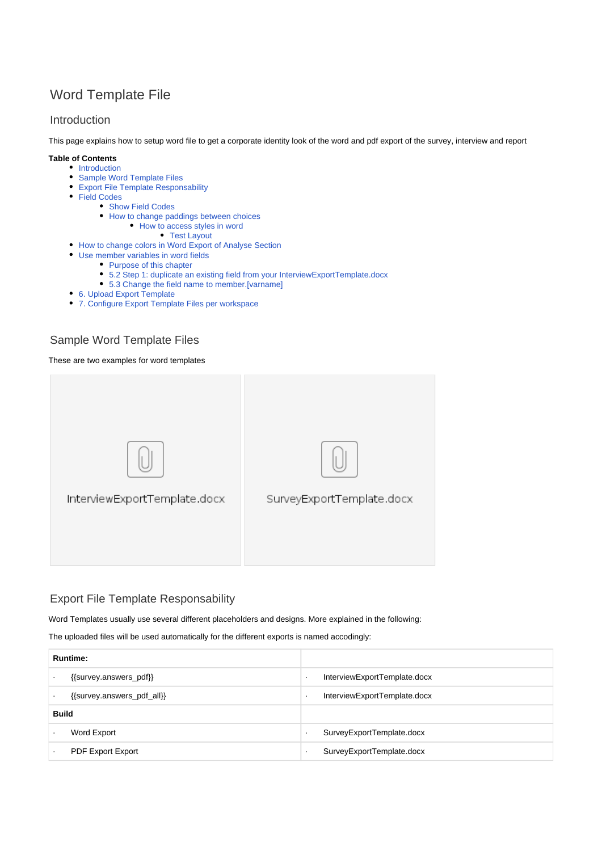# Word Template File

### <span id="page-0-0"></span>Introduction

This page explains how to setup word file to get a corporate identity look of the word and pdf export of the survey, interview and report

### **Table of Contents**

- [Introduction](#page-0-0)
- [Sample Word Template Files](#page-0-1) [Export File Template Responsability](#page-0-2)
- [Field Codes](#page-1-0)
- [Show Field Codes](#page-1-1)
	- [How to change paddings between choices](#page-2-0)
		- [How to access styles in word](#page-2-1)
			- [Test Layout](#page-4-0)
- [How to change colors in Word Export of Analyse Section](#page-5-0)
- [Use member variables in word fields](#page-5-1)
	- [Purpose of this chapter](#page-5-2)
	- [5.2 Step 1: duplicate an existing field from your InterviewExportTemplate.docx](#page-5-3)
	- [5.3 Change the field name to member.\[varname\]](#page-6-0)
- [6. Upload Export Template](#page-6-1)
- [7. Configure Export Template Files per workspace](#page-6-2)

## <span id="page-0-1"></span>Sample Word Template Files

### These are two examples for word templates



## <span id="page-0-2"></span>Export File Template Responsability

Word Templates usually use several different placeholders and designs. More explained in the following:

The uploaded files will be used automatically for the different exports is named accodingly:

| <b>Runtime:</b>            |                                   |
|----------------------------|-----------------------------------|
| {{survey.answers_pdf}}     | InterviewExportTemplate.docx<br>٠ |
| {{survey.answers_pdf_all}} | InterviewExportTemplate.docx      |
| <b>Build</b>               |                                   |
| Word Export                | SurveyExportTemplate.docx<br>٠    |
| <b>PDF Export Export</b>   | SurveyExportTemplate.docx         |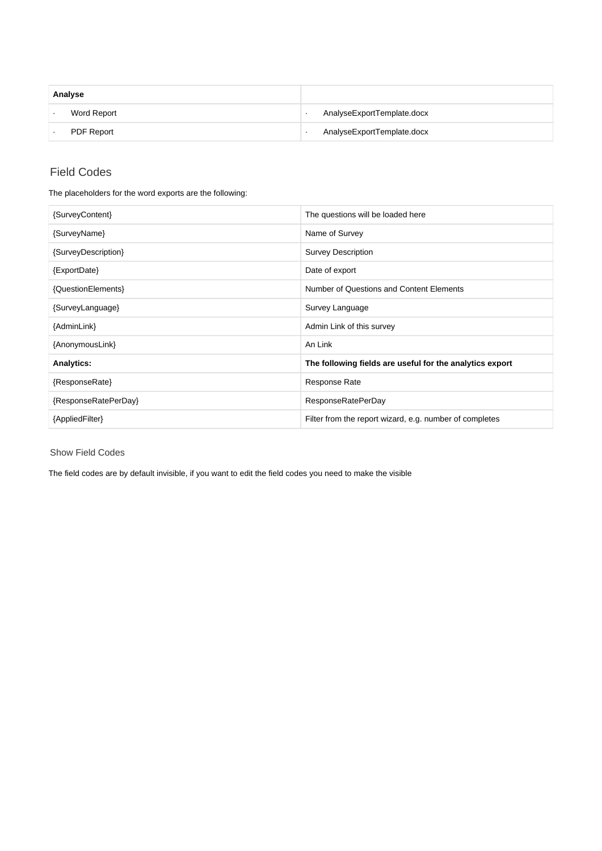| Analyse           |                            |
|-------------------|----------------------------|
| Word Report       | AnalyseExportTemplate.docx |
| <b>PDF Report</b> | AnalyseExportTemplate.docx |

## <span id="page-1-0"></span>Field Codes

The placeholders for the word exports are the following:

| {SurveyContent}      | The questions will be loaded here                        |
|----------------------|----------------------------------------------------------|
| {SurveyName}         | Name of Survey                                           |
| {SurveyDescription}  | <b>Survey Description</b>                                |
| {ExportDate}         | Date of export                                           |
| {QuestionElements}   | Number of Questions and Content Elements                 |
| {SurveyLanguage}     | Survey Language                                          |
| {AdminLink}          | Admin Link of this survey                                |
| {AnonymousLink}      | An Link                                                  |
| <b>Analytics:</b>    | The following fields are useful for the analytics export |
| {ResponseRate}       | <b>Response Rate</b>                                     |
| {ResponseRatePerDay} | <b>ResponseRatePerDay</b>                                |
| {AppliedFilter}      | Filter from the report wizard, e.g. number of completes  |

<span id="page-1-1"></span>Show Field Codes

The field codes are by default invisible, if you want to edit the field codes you need to make the visible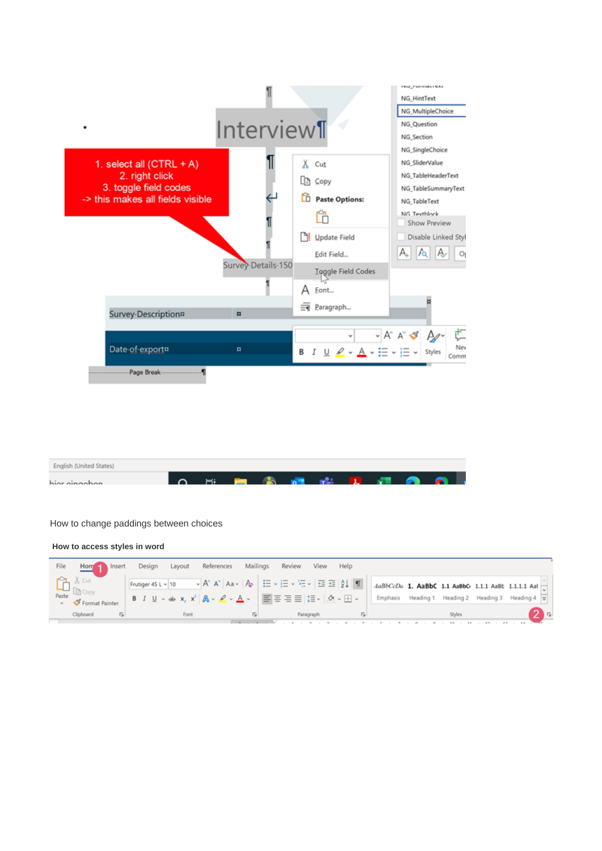

| English (United States) |  |  |  |  |  |
|-------------------------|--|--|--|--|--|
| hior oingohon           |  |  |  |  |  |

#### <span id="page-2-0"></span>How to change paddings between choices

 **How to access styles in word**

<span id="page-2-1"></span>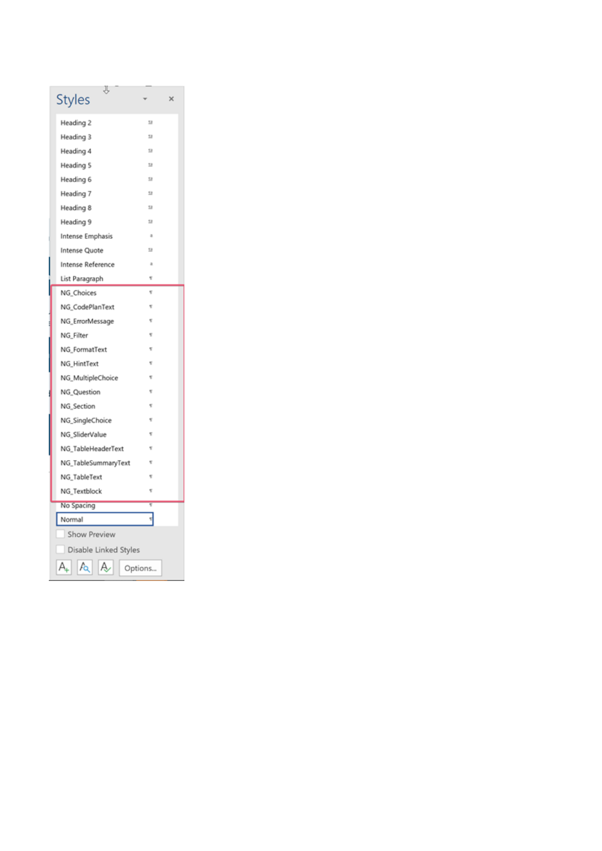| J,<br><b>Styles</b>   |         | × |
|-----------------------|---------|---|
| Heading 2             | 53      |   |
| Heading 3             | 13      |   |
| Heading 4             | 13      |   |
| Heading 5             | 53      |   |
| Heading 6             | 13      |   |
| Heading 7             | 13      |   |
| Heading 8             | 53      |   |
| Heading 9             | 13      |   |
| Intense Emphasis      | a       |   |
| Intense Quote         | 53      |   |
| Intense Reference     | ä       |   |
| List Paragraph        | ÷       |   |
| NG_Choices            | ť       |   |
| NG_CodePlanText       | ٣       |   |
| NG_ErrorMessage       | ŧ       |   |
| NG Filter             | ۳       |   |
| NG_FormatText         | ٢       |   |
| NG_HintText           | ۳       |   |
| NG_MultipleChoice     | ÷       |   |
| NG_Question           | ۳       |   |
| NG Section            | ť       |   |
| NG_SingleChoice       | ŧ       |   |
| NG_SliderValue        | v       |   |
| NG_TableHeaderText    | ۳       |   |
| NG_TableSummaryText   | ÷       |   |
| NG_TableText          | ۲       |   |
| NG_Textblock          | ۳       |   |
| No Spacing            | ī       |   |
| Normal                | ۳       |   |
| Show Preview          |         |   |
| Disable Linked Styles |         |   |
| А,<br>А<br>Æ          | Options |   |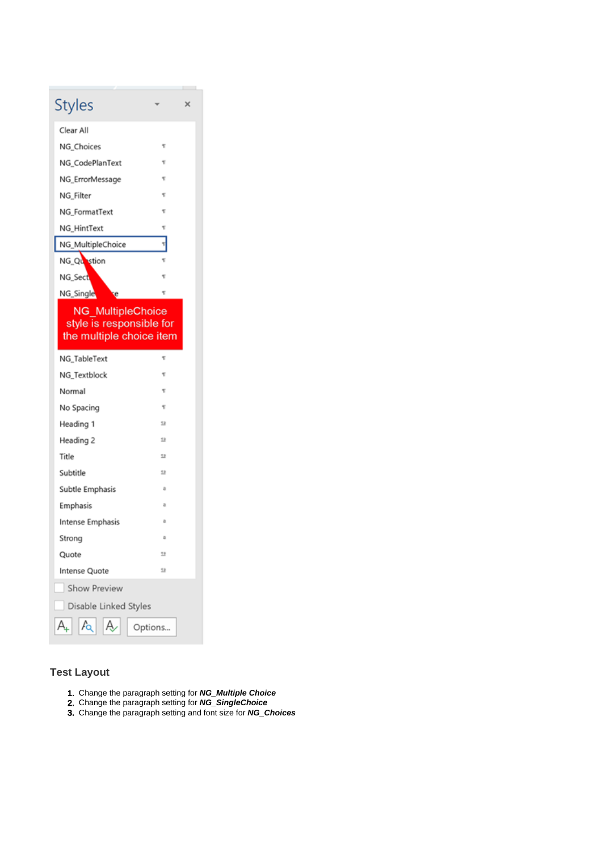| Styles                                                                           |    | × |
|----------------------------------------------------------------------------------|----|---|
| Clear All                                                                        |    |   |
| NG_Choices                                                                       | ۳  |   |
| NG_CodePlanText                                                                  | ۳  |   |
| NG_ErrorMessage                                                                  | ۳  |   |
| NG Filter                                                                        | ۳  |   |
| NG_FormatText                                                                    | ۳  |   |
| NG HintText                                                                      | ۳  |   |
| NG_MultipleChoice                                                                | 11 |   |
| NG_Question                                                                      | ۳  |   |
| NG_Sect                                                                          | ۳  |   |
| NG_Single<br>ę                                                                   | ۳  |   |
| <b>NG MultipleChoice</b><br>style is responsible for<br>the multiple choice item |    |   |
|                                                                                  | ۳  |   |
| NG_TableText                                                                     |    |   |
| NG Textblock                                                                     | ۳  |   |
| Normal                                                                           | ۳  |   |
| No Spacing                                                                       | ۳  |   |
| Heading 1                                                                        | 13 |   |
| Heading 2                                                                        | 13 |   |
| Title                                                                            | 13 |   |
| Subtitle                                                                         | 28 |   |
| Subtle Emphasis                                                                  | a  |   |
| Emphasis                                                                         | a  |   |
| Intense Emphasis                                                                 | ā  |   |
| Strong                                                                           | a  |   |
| Quote                                                                            | 13 |   |
| Intense Quote                                                                    | 13 |   |
| <b>Show Preview</b>                                                              |    |   |
| Disable Linked Styles                                                            |    |   |

## <span id="page-4-0"></span>**Test Layout**

- 1. Change the paragraph setting for **NG\_Multiple Choice**
- 2. Change the paragraph setting for **NG\_SingleChoice**
- 3. Change the paragraph setting and font size for **NG\_Choices**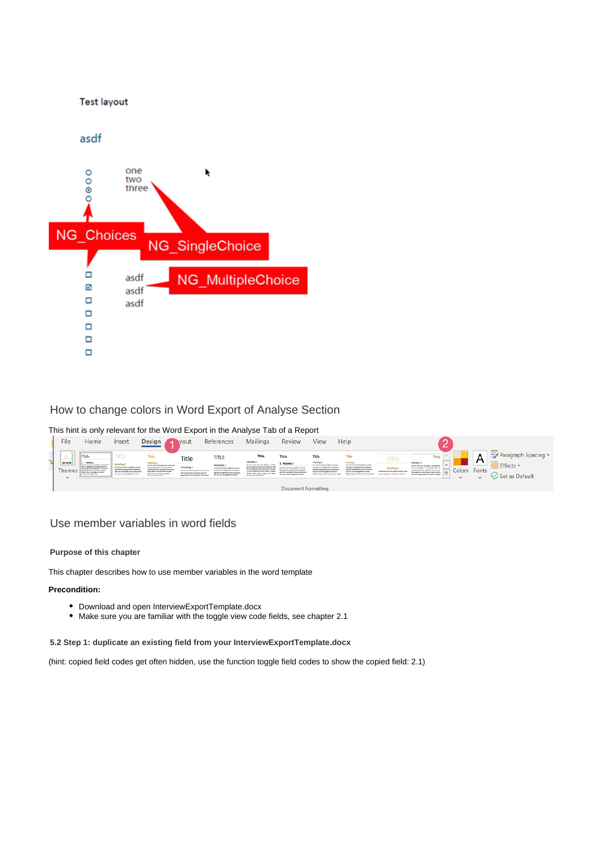

## <span id="page-5-0"></span>How to change colors in Word Export of Analyse Section

#### This hint is only relevant for the Word Export in the Analyse Tab of a Report



### <span id="page-5-1"></span>Use member variables in word fields

#### <span id="page-5-2"></span>**Purpose of this chapter**

This chapter describes how to use member variables in the word template

#### **Precondition:**

- Download and open InterviewExportTemplate.docx
- Make sure you are familiar with the toggle view code fields, see chapter 2.1

<span id="page-5-3"></span>**5.2 Step 1: duplicate an existing field from your InterviewExportTemplate.docx**

(hint: copied field codes get often hidden, use the function toggle field codes to show the copied field: 2.1)